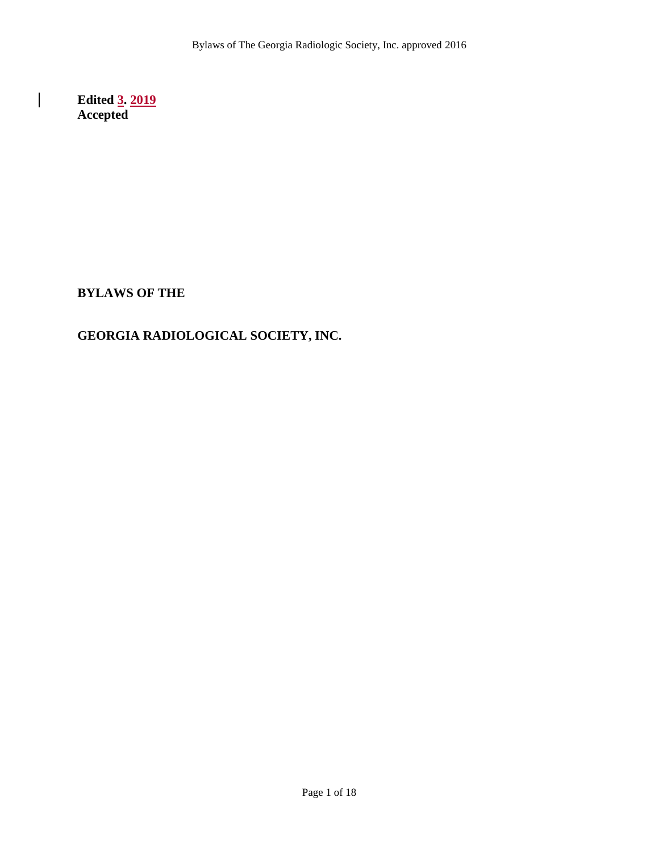**Edited 3. 2019 Accepted** 

 $\begin{array}{c} \hline \end{array}$ 

**BYLAWS OF THE**

# **GEORGIA RADIOLOGICAL SOCIETY, INC.**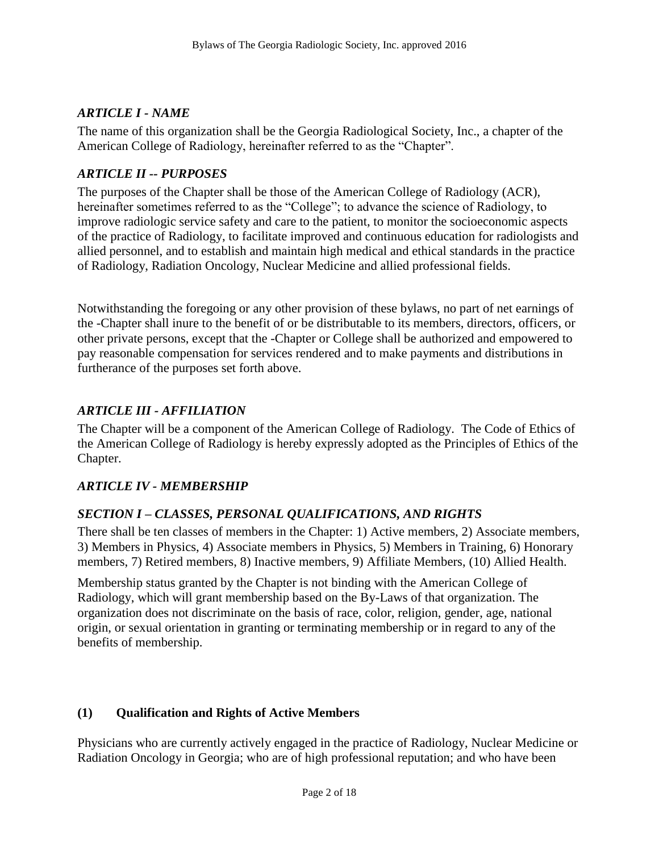## *ARTICLE I - NAME*

The name of this organization shall be the Georgia Radiological Society, Inc., a chapter of the American College of Radiology, hereinafter referred to as the "Chapter".

# *ARTICLE II -- PURPOSES*

The purposes of the Chapter shall be those of the American College of Radiology (ACR), hereinafter sometimes referred to as the "College"; to advance the science of Radiology, to improve radiologic service safety and care to the patient, to monitor the socioeconomic aspects of the practice of Radiology, to facilitate improved and continuous education for radiologists and allied personnel, and to establish and maintain high medical and ethical standards in the practice of Radiology, Radiation Oncology, Nuclear Medicine and allied professional fields.

Notwithstanding the foregoing or any other provision of these bylaws, no part of net earnings of the -Chapter shall inure to the benefit of or be distributable to its members, directors, officers, or other private persons, except that the -Chapter or College shall be authorized and empowered to pay reasonable compensation for services rendered and to make payments and distributions in furtherance of the purposes set forth above.

## *ARTICLE III - AFFILIATION*

The Chapter will be a component of the American College of Radiology. The Code of Ethics of the American College of Radiology is hereby expressly adopted as the Principles of Ethics of the Chapter.

# *ARTICLE IV - MEMBERSHIP*

### *SECTION I – CLASSES, PERSONAL QUALIFICATIONS, AND RIGHTS*

There shall be ten classes of members in the Chapter: 1) Active members, 2) Associate members, 3) Members in Physics, 4) Associate members in Physics, 5) Members in Training, 6) Honorary members, 7) Retired members, 8) Inactive members, 9) Affiliate Members, (10) Allied Health.

Membership status granted by the Chapter is not binding with the American College of Radiology, which will grant membership based on the By-Laws of that organization. The organization does not discriminate on the basis of race, color, religion, gender, age, national origin, or sexual orientation in granting or terminating membership or in regard to any of the benefits of membership.

# **(1) Qualification and Rights of Active Members**

Physicians who are currently actively engaged in the practice of Radiology, Nuclear Medicine or Radiation Oncology in Georgia; who are of high professional reputation; and who have been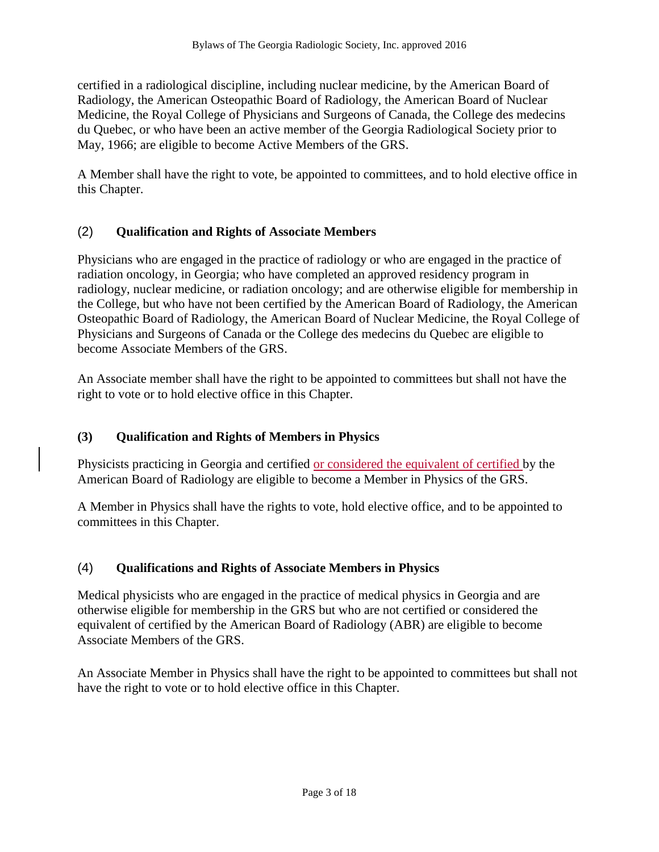certified in a radiological discipline, including nuclear medicine, by the American Board of Radiology, the American Osteopathic Board of Radiology, the American Board of Nuclear Medicine, the Royal College of Physicians and Surgeons of Canada, the College des medecins du Quebec, or who have been an active member of the Georgia Radiological Society prior to May, 1966; are eligible to become Active Members of the GRS.

A Member shall have the right to vote, be appointed to committees, and to hold elective office in this Chapter.

## (2) **Qualification and Rights of Associate Members**

Physicians who are engaged in the practice of radiology or who are engaged in the practice of radiation oncology, in Georgia; who have completed an approved residency program in radiology, nuclear medicine, or radiation oncology; and are otherwise eligible for membership in the College, but who have not been certified by the American Board of Radiology, the American Osteopathic Board of Radiology, the American Board of Nuclear Medicine, the Royal College of Physicians and Surgeons of Canada or the College des medecins du Quebec are eligible to become Associate Members of the GRS.

An Associate member shall have the right to be appointed to committees but shall not have the right to vote or to hold elective office in this Chapter.

### **(3) Qualification and Rights of Members in Physics**

Physicists practicing in Georgia and certified or considered the equivalent of certified by the American Board of Radiology are eligible to become a Member in Physics of the GRS.

A Member in Physics shall have the rights to vote, hold elective office, and to be appointed to committees in this Chapter.

# (4) **Qualifications and Rights of Associate Members in Physics**

Medical physicists who are engaged in the practice of medical physics in Georgia and are otherwise eligible for membership in the GRS but who are not certified or considered the equivalent of certified by the American Board of Radiology (ABR) are eligible to become Associate Members of the GRS.

An Associate Member in Physics shall have the right to be appointed to committees but shall not have the right to vote or to hold elective office in this Chapter.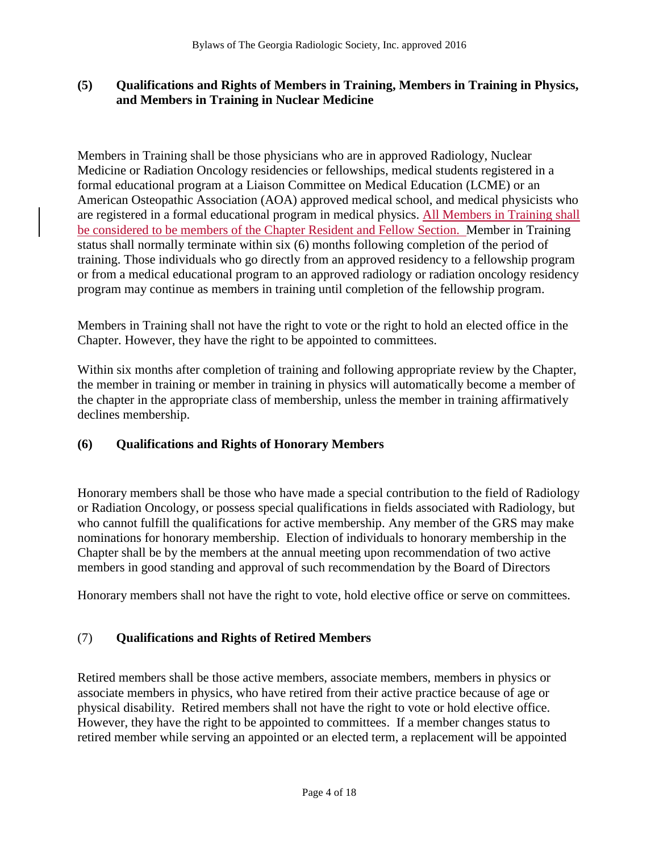#### **(5) Qualifications and Rights of Members in Training, Members in Training in Physics, and Members in Training in Nuclear Medicine**

Members in Training shall be those physicians who are in approved Radiology, Nuclear Medicine or Radiation Oncology residencies or fellowships, medical students registered in a formal educational program at a Liaison Committee on Medical Education (LCME) or an American Osteopathic Association (AOA) approved medical school, and medical physicists who are registered in a formal educational program in medical physics. All Members in Training shall be considered to be members of the Chapter Resident and Fellow Section. Member in Training status shall normally terminate within six (6) months following completion of the period of training. Those individuals who go directly from an approved residency to a fellowship program or from a medical educational program to an approved radiology or radiation oncology residency program may continue as members in training until completion of the fellowship program.

Members in Training shall not have the right to vote or the right to hold an elected office in the Chapter. However, they have the right to be appointed to committees.

Within six months after completion of training and following appropriate review by the Chapter, the member in training or member in training in physics will automatically become a member of the chapter in the appropriate class of membership, unless the member in training affirmatively declines membership.

#### **(6) Qualifications and Rights of Honorary Members**

Honorary members shall be those who have made a special contribution to the field of Radiology or Radiation Oncology, or possess special qualifications in fields associated with Radiology, but who cannot fulfill the qualifications for active membership. Any member of the GRS may make nominations for honorary membership. Election of individuals to honorary membership in the Chapter shall be by the members at the annual meeting upon recommendation of two active members in good standing and approval of such recommendation by the Board of Directors

Honorary members shall not have the right to vote, hold elective office or serve on committees.

#### (7) **Qualifications and Rights of Retired Members**

Retired members shall be those active members, associate members, members in physics or associate members in physics, who have retired from their active practice because of age or physical disability. Retired members shall not have the right to vote or hold elective office. However, they have the right to be appointed to committees. If a member changes status to retired member while serving an appointed or an elected term, a replacement will be appointed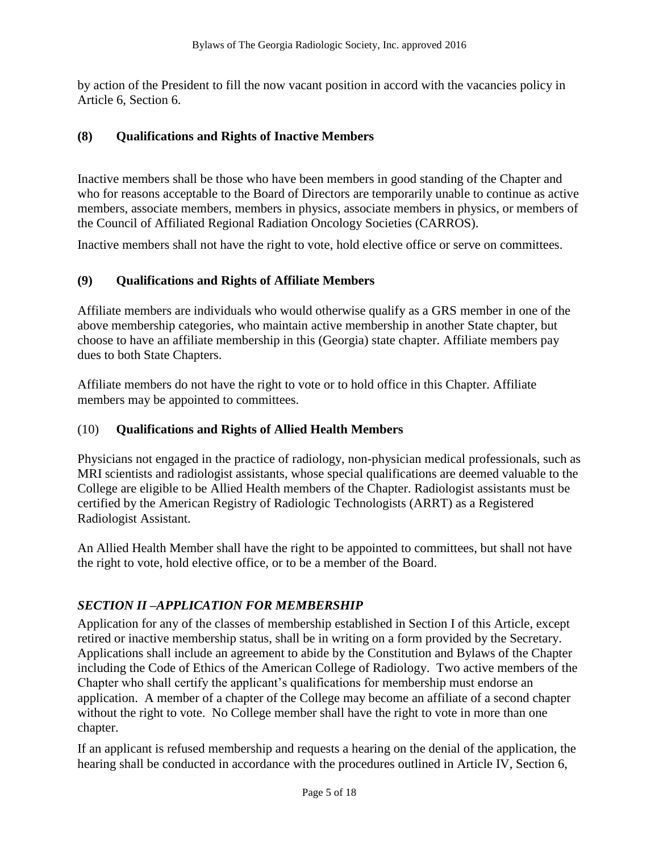by action of the President to fill the now vacant position in accord with the vacancies policy in Article 6, Section 6.

#### **(8) Qualifications and Rights of Inactive Members**

Inactive members shall be those who have been members in good standing of the Chapter and who for reasons acceptable to the Board of Directors are temporarily unable to continue as active members, associate members, members in physics, associate members in physics, or members of the Council of Affiliated Regional Radiation Oncology Societies (CARROS).

Inactive members shall not have the right to vote, hold elective office or serve on committees.

#### **(9) Qualifications and Rights of Affiliate Members**

Affiliate members are individuals who would otherwise qualify as a GRS member in one of the above membership categories, who maintain active membership in another State chapter, but choose to have an affiliate membership in this (Georgia) state chapter. Affiliate members pay dues to both State Chapters.

Affiliate members do not have the right to vote or to hold office in this Chapter. Affiliate members may be appointed to committees.

#### (10) **Qualifications and Rights of Allied Health Members**

Physicians not engaged in the practice of radiology, non-physician medical professionals, such as MRI scientists and radiologist assistants, whose special qualifications are deemed valuable to the College are eligible to be Allied Health members of the Chapter. Radiologist assistants must be certified by the American Registry of Radiologic Technologists (ARRT) as a Registered Radiologist Assistant.

An Allied Health Member shall have the right to be appointed to committees, but shall not have the right to vote, hold elective office, or to be a member of the Board.

### *SECTION II –APPLICATION FOR MEMBERSHIP*

Application for any of the classes of membership established in Section I of this Article, except retired or inactive membership status, shall be in writing on a form provided by the Secretary. Applications shall include an agreement to abide by the Constitution and Bylaws of the Chapter including the Code of Ethics of the American College of Radiology. Two active members of the Chapter who shall certify the applicant's qualifications for membership must endorse an application. A member of a chapter of the College may become an affiliate of a second chapter without the right to vote. No College member shall have the right to vote in more than one chapter.

If an applicant is refused membership and requests a hearing on the denial of the application, the hearing shall be conducted in accordance with the procedures outlined in Article IV, Section 6,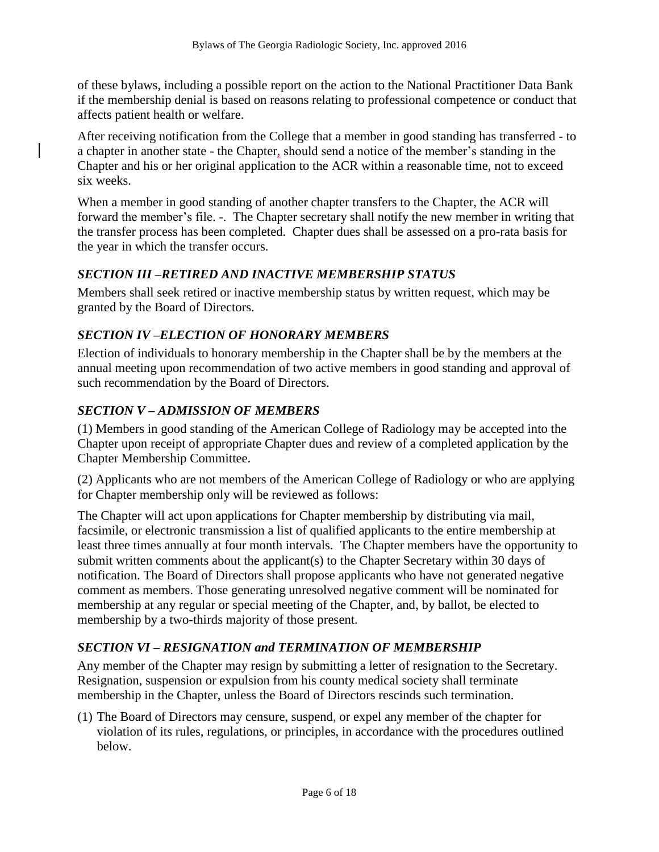of these bylaws, including a possible report on the action to the National Practitioner Data Bank if the membership denial is based on reasons relating to professional competence or conduct that affects patient health or welfare.

After receiving notification from the College that a member in good standing has transferred - to a chapter in another state - the Chapter, should send a notice of the member's standing in the Chapter and his or her original application to the ACR within a reasonable time, not to exceed six weeks.

When a member in good standing of another chapter transfers to the Chapter, the ACR will forward the member's file. -. The Chapter secretary shall notify the new member in writing that the transfer process has been completed. Chapter dues shall be assessed on a pro-rata basis for the year in which the transfer occurs.

### *SECTION III –RETIRED AND INACTIVE MEMBERSHIP STATUS*

Members shall seek retired or inactive membership status by written request, which may be granted by the Board of Directors.

### *SECTION IV –ELECTION OF HONORARY MEMBERS*

Election of individuals to honorary membership in the Chapter shall be by the members at the annual meeting upon recommendation of two active members in good standing and approval of such recommendation by the Board of Directors.

#### *SECTION V – ADMISSION OF MEMBERS*

(1) Members in good standing of the American College of Radiology may be accepted into the Chapter upon receipt of appropriate Chapter dues and review of a completed application by the Chapter Membership Committee.

(2) Applicants who are not members of the American College of Radiology or who are applying for Chapter membership only will be reviewed as follows:

The Chapter will act upon applications for Chapter membership by distributing via mail, facsimile, or electronic transmission a list of qualified applicants to the entire membership at least three times annually at four month intervals. The Chapter members have the opportunity to submit written comments about the applicant(s) to the Chapter Secretary within 30 days of notification. The Board of Directors shall propose applicants who have not generated negative comment as members. Those generating unresolved negative comment will be nominated for membership at any regular or special meeting of the Chapter, and, by ballot, be elected to membership by a two-thirds majority of those present.

### *SECTION VI – RESIGNATION and TERMINATION OF MEMBERSHIP*

Any member of the Chapter may resign by submitting a letter of resignation to the Secretary. Resignation, suspension or expulsion from his county medical society shall terminate membership in the Chapter, unless the Board of Directors rescinds such termination.

(1) The Board of Directors may censure, suspend, or expel any member of the chapter for violation of its rules, regulations, or principles, in accordance with the procedures outlined below.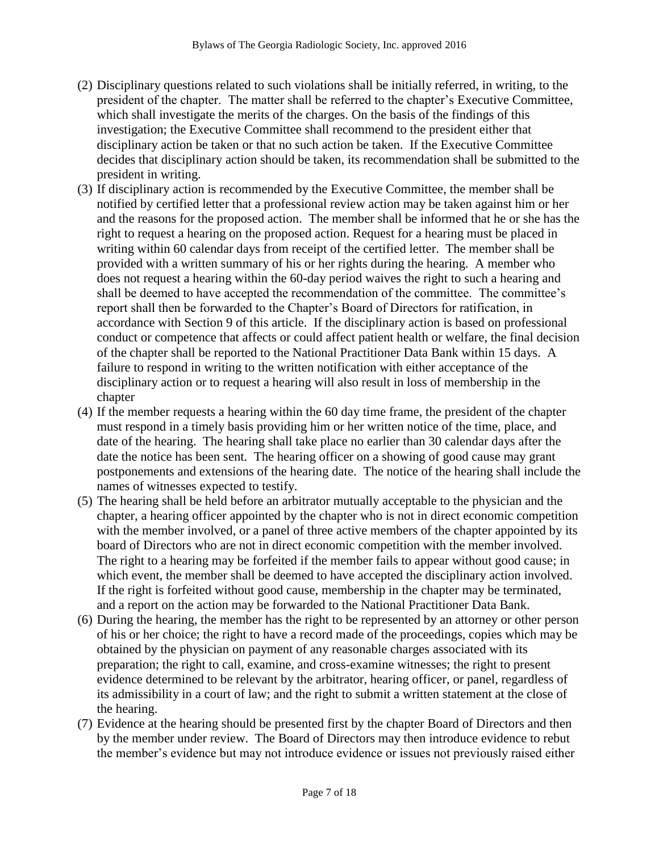- (2) Disciplinary questions related to such violations shall be initially referred, in writing, to the president of the chapter. The matter shall be referred to the chapter's Executive Committee, which shall investigate the merits of the charges. On the basis of the findings of this investigation; the Executive Committee shall recommend to the president either that disciplinary action be taken or that no such action be taken. If the Executive Committee decides that disciplinary action should be taken, its recommendation shall be submitted to the president in writing.
- (3) If disciplinary action is recommended by the Executive Committee, the member shall be notified by certified letter that a professional review action may be taken against him or her and the reasons for the proposed action. The member shall be informed that he or she has the right to request a hearing on the proposed action. Request for a hearing must be placed in writing within 60 calendar days from receipt of the certified letter. The member shall be provided with a written summary of his or her rights during the hearing. A member who does not request a hearing within the 60-day period waives the right to such a hearing and shall be deemed to have accepted the recommendation of the committee. The committee's report shall then be forwarded to the Chapter's Board of Directors for ratification, in accordance with Section 9 of this article. If the disciplinary action is based on professional conduct or competence that affects or could affect patient health or welfare, the final decision of the chapter shall be reported to the National Practitioner Data Bank within 15 days. A failure to respond in writing to the written notification with either acceptance of the disciplinary action or to request a hearing will also result in loss of membership in the chapter
- (4) If the member requests a hearing within the 60 day time frame, the president of the chapter must respond in a timely basis providing him or her written notice of the time, place, and date of the hearing. The hearing shall take place no earlier than 30 calendar days after the date the notice has been sent. The hearing officer on a showing of good cause may grant postponements and extensions of the hearing date. The notice of the hearing shall include the names of witnesses expected to testify.
- (5) The hearing shall be held before an arbitrator mutually acceptable to the physician and the chapter, a hearing officer appointed by the chapter who is not in direct economic competition with the member involved, or a panel of three active members of the chapter appointed by its board of Directors who are not in direct economic competition with the member involved. The right to a hearing may be forfeited if the member fails to appear without good cause; in which event, the member shall be deemed to have accepted the disciplinary action involved. If the right is forfeited without good cause, membership in the chapter may be terminated, and a report on the action may be forwarded to the National Practitioner Data Bank.
- (6) During the hearing, the member has the right to be represented by an attorney or other person of his or her choice; the right to have a record made of the proceedings, copies which may be obtained by the physician on payment of any reasonable charges associated with its preparation; the right to call, examine, and cross-examine witnesses; the right to present evidence determined to be relevant by the arbitrator, hearing officer, or panel, regardless of its admissibility in a court of law; and the right to submit a written statement at the close of the hearing.
- (7) Evidence at the hearing should be presented first by the chapter Board of Directors and then by the member under review. The Board of Directors may then introduce evidence to rebut the member's evidence but may not introduce evidence or issues not previously raised either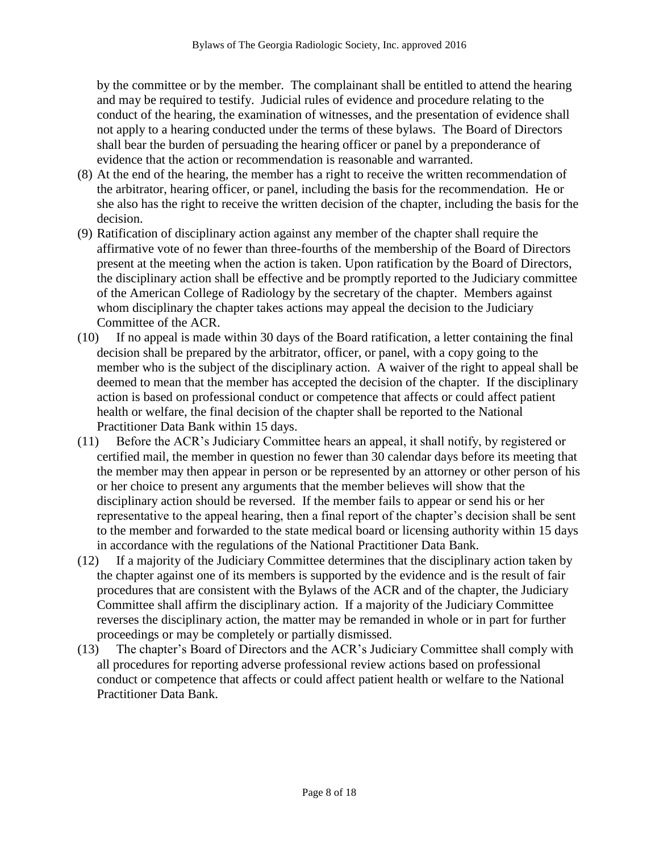by the committee or by the member. The complainant shall be entitled to attend the hearing and may be required to testify. Judicial rules of evidence and procedure relating to the conduct of the hearing, the examination of witnesses, and the presentation of evidence shall not apply to a hearing conducted under the terms of these bylaws. The Board of Directors shall bear the burden of persuading the hearing officer or panel by a preponderance of evidence that the action or recommendation is reasonable and warranted.

- (8) At the end of the hearing, the member has a right to receive the written recommendation of the arbitrator, hearing officer, or panel, including the basis for the recommendation. He or she also has the right to receive the written decision of the chapter, including the basis for the decision.
- (9) Ratification of disciplinary action against any member of the chapter shall require the affirmative vote of no fewer than three-fourths of the membership of the Board of Directors present at the meeting when the action is taken. Upon ratification by the Board of Directors, the disciplinary action shall be effective and be promptly reported to the Judiciary committee of the American College of Radiology by the secretary of the chapter. Members against whom disciplinary the chapter takes actions may appeal the decision to the Judiciary Committee of the ACR.
- (10) If no appeal is made within 30 days of the Board ratification, a letter containing the final decision shall be prepared by the arbitrator, officer, or panel, with a copy going to the member who is the subject of the disciplinary action. A waiver of the right to appeal shall be deemed to mean that the member has accepted the decision of the chapter. If the disciplinary action is based on professional conduct or competence that affects or could affect patient health or welfare, the final decision of the chapter shall be reported to the National Practitioner Data Bank within 15 days.
- (11) Before the ACR's Judiciary Committee hears an appeal, it shall notify, by registered or certified mail, the member in question no fewer than 30 calendar days before its meeting that the member may then appear in person or be represented by an attorney or other person of his or her choice to present any arguments that the member believes will show that the disciplinary action should be reversed. If the member fails to appear or send his or her representative to the appeal hearing, then a final report of the chapter's decision shall be sent to the member and forwarded to the state medical board or licensing authority within 15 days in accordance with the regulations of the National Practitioner Data Bank.
- (12) If a majority of the Judiciary Committee determines that the disciplinary action taken by the chapter against one of its members is supported by the evidence and is the result of fair procedures that are consistent with the Bylaws of the ACR and of the chapter, the Judiciary Committee shall affirm the disciplinary action. If a majority of the Judiciary Committee reverses the disciplinary action, the matter may be remanded in whole or in part for further proceedings or may be completely or partially dismissed.
- (13) The chapter's Board of Directors and the ACR's Judiciary Committee shall comply with all procedures for reporting adverse professional review actions based on professional conduct or competence that affects or could affect patient health or welfare to the National Practitioner Data Bank.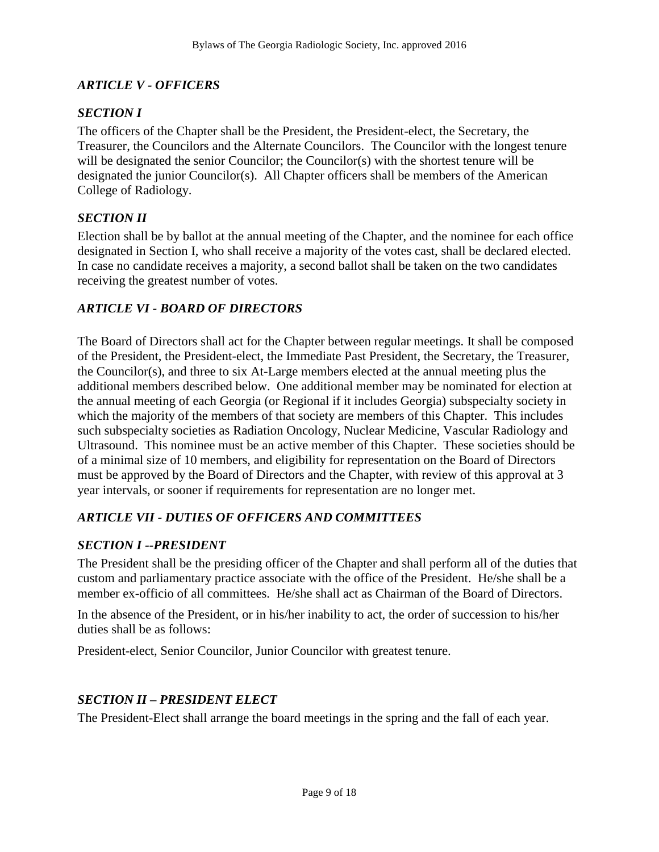## *ARTICLE V - OFFICERS*

## *SECTION I*

The officers of the Chapter shall be the President, the President-elect, the Secretary, the Treasurer, the Councilors and the Alternate Councilors. The Councilor with the longest tenure will be designated the senior Councilor; the Councilor(s) with the shortest tenure will be designated the junior Councilor(s). All Chapter officers shall be members of the American College of Radiology.

## *SECTION II*

Election shall be by ballot at the annual meeting of the Chapter, and the nominee for each office designated in Section I, who shall receive a majority of the votes cast, shall be declared elected. In case no candidate receives a majority, a second ballot shall be taken on the two candidates receiving the greatest number of votes.

### *ARTICLE VI - BOARD OF DIRECTORS*

The Board of Directors shall act for the Chapter between regular meetings. It shall be composed of the President, the President-elect, the Immediate Past President, the Secretary, the Treasurer, the Councilor(s), and three to six At-Large members elected at the annual meeting plus the additional members described below. One additional member may be nominated for election at the annual meeting of each Georgia (or Regional if it includes Georgia) subspecialty society in which the majority of the members of that society are members of this Chapter. This includes such subspecialty societies as Radiation Oncology, Nuclear Medicine, Vascular Radiology and Ultrasound. This nominee must be an active member of this Chapter. These societies should be of a minimal size of 10 members, and eligibility for representation on the Board of Directors must be approved by the Board of Directors and the Chapter, with review of this approval at 3 year intervals, or sooner if requirements for representation are no longer met.

### *ARTICLE VII - DUTIES OF OFFICERS AND COMMITTEES*

# *SECTION I --PRESIDENT*

The President shall be the presiding officer of the Chapter and shall perform all of the duties that custom and parliamentary practice associate with the office of the President. He/she shall be a member ex-officio of all committees. He/she shall act as Chairman of the Board of Directors.

In the absence of the President, or in his/her inability to act, the order of succession to his/her duties shall be as follows:

President-elect, Senior Councilor, Junior Councilor with greatest tenure.

### *SECTION II – PRESIDENT ELECT*

The President-Elect shall arrange the board meetings in the spring and the fall of each year.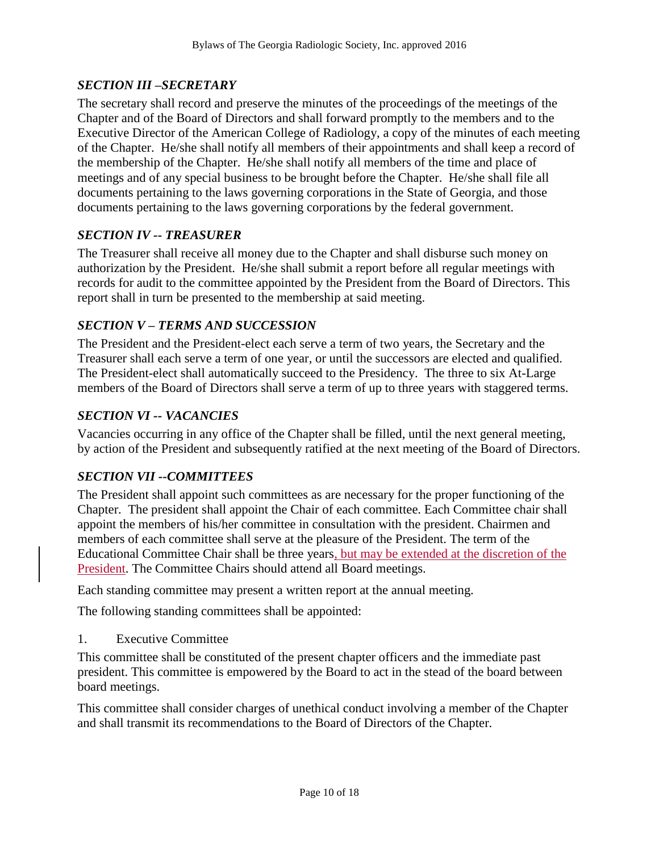## *SECTION III –SECRETARY*

The secretary shall record and preserve the minutes of the proceedings of the meetings of the Chapter and of the Board of Directors and shall forward promptly to the members and to the Executive Director of the American College of Radiology, a copy of the minutes of each meeting of the Chapter. He/she shall notify all members of their appointments and shall keep a record of the membership of the Chapter. He/she shall notify all members of the time and place of meetings and of any special business to be brought before the Chapter. He/she shall file all documents pertaining to the laws governing corporations in the State of Georgia, and those documents pertaining to the laws governing corporations by the federal government.

#### *SECTION IV -- TREASURER*

The Treasurer shall receive all money due to the Chapter and shall disburse such money on authorization by the President. He/she shall submit a report before all regular meetings with records for audit to the committee appointed by the President from the Board of Directors. This report shall in turn be presented to the membership at said meeting.

#### *SECTION V – TERMS AND SUCCESSION*

The President and the President-elect each serve a term of two years, the Secretary and the Treasurer shall each serve a term of one year, or until the successors are elected and qualified. The President-elect shall automatically succeed to the Presidency. The three to six At-Large members of the Board of Directors shall serve a term of up to three years with staggered terms.

#### *SECTION VI -- VACANCIES*

Vacancies occurring in any office of the Chapter shall be filled, until the next general meeting, by action of the President and subsequently ratified at the next meeting of the Board of Directors.

### *SECTION VII --COMMITTEES*

The President shall appoint such committees as are necessary for the proper functioning of the Chapter. The president shall appoint the Chair of each committee. Each Committee chair shall appoint the members of his/her committee in consultation with the president. Chairmen and members of each committee shall serve at the pleasure of the President. The term of the Educational Committee Chair shall be three years, but may be extended at the discretion of the President. The Committee Chairs should attend all Board meetings.

Each standing committee may present a written report at the annual meeting.

The following standing committees shall be appointed:

1. Executive Committee

This committee shall be constituted of the present chapter officers and the immediate past president. This committee is empowered by the Board to act in the stead of the board between board meetings.

This committee shall consider charges of unethical conduct involving a member of the Chapter and shall transmit its recommendations to the Board of Directors of the Chapter.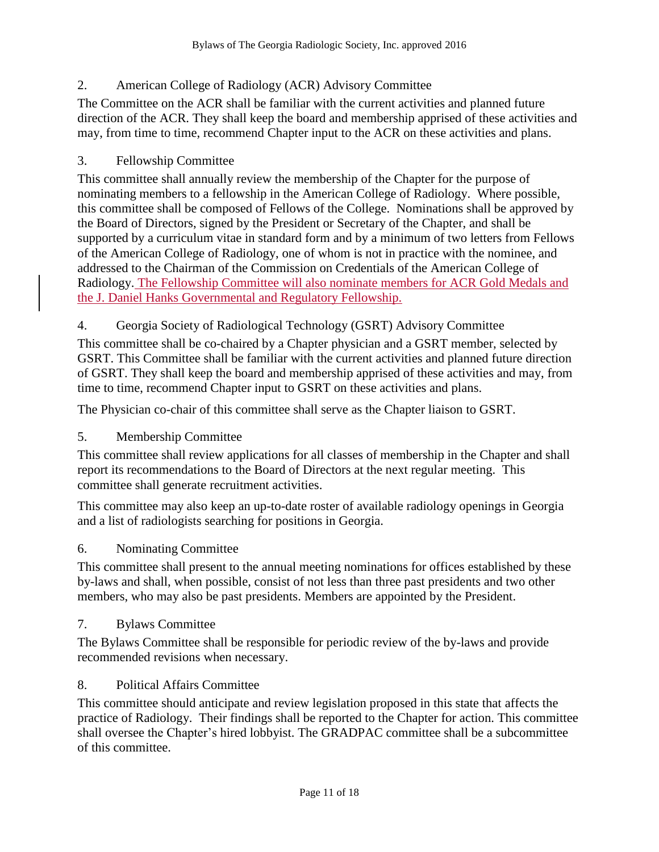## 2. American College of Radiology (ACR) Advisory Committee

The Committee on the ACR shall be familiar with the current activities and planned future direction of the ACR. They shall keep the board and membership apprised of these activities and may, from time to time, recommend Chapter input to the ACR on these activities and plans.

#### 3. Fellowship Committee

This committee shall annually review the membership of the Chapter for the purpose of nominating members to a fellowship in the American College of Radiology. Where possible, this committee shall be composed of Fellows of the College. Nominations shall be approved by the Board of Directors, signed by the President or Secretary of the Chapter, and shall be supported by a curriculum vitae in standard form and by a minimum of two letters from Fellows of the American College of Radiology, one of whom is not in practice with the nominee, and addressed to the Chairman of the Commission on Credentials of the American College of Radiology. The Fellowship Committee will also nominate members for ACR Gold Medals and the J. Daniel Hanks Governmental and Regulatory Fellowship.

### 4. Georgia Society of Radiological Technology (GSRT) Advisory Committee

This committee shall be co-chaired by a Chapter physician and a GSRT member, selected by GSRT. This Committee shall be familiar with the current activities and planned future direction of GSRT. They shall keep the board and membership apprised of these activities and may, from time to time, recommend Chapter input to GSRT on these activities and plans.

The Physician co-chair of this committee shall serve as the Chapter liaison to GSRT.

### 5. Membership Committee

This committee shall review applications for all classes of membership in the Chapter and shall report its recommendations to the Board of Directors at the next regular meeting. This committee shall generate recruitment activities.

This committee may also keep an up-to-date roster of available radiology openings in Georgia and a list of radiologists searching for positions in Georgia.

#### 6. Nominating Committee

This committee shall present to the annual meeting nominations for offices established by these by-laws and shall, when possible, consist of not less than three past presidents and two other members, who may also be past presidents. Members are appointed by the President.

### 7. Bylaws Committee

The Bylaws Committee shall be responsible for periodic review of the by-laws and provide recommended revisions when necessary.

#### 8. Political Affairs Committee

This committee should anticipate and review legislation proposed in this state that affects the practice of Radiology. Their findings shall be reported to the Chapter for action. This committee shall oversee the Chapter's hired lobbyist. The GRADPAC committee shall be a subcommittee of this committee.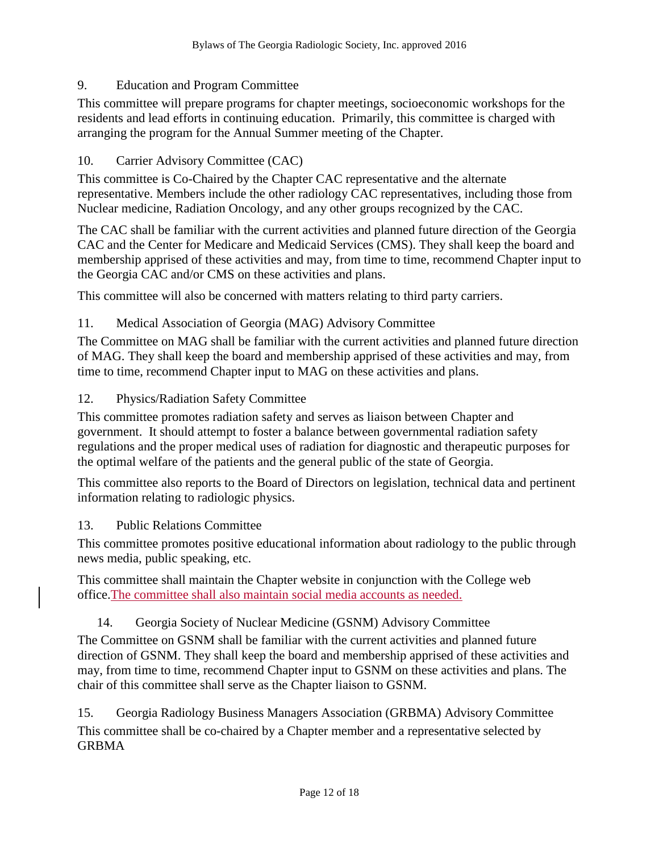## 9. Education and Program Committee

This committee will prepare programs for chapter meetings, socioeconomic workshops for the residents and lead efforts in continuing education. Primarily, this committee is charged with arranging the program for the Annual Summer meeting of the Chapter.

## 10. Carrier Advisory Committee (CAC)

This committee is Co-Chaired by the Chapter CAC representative and the alternate representative. Members include the other radiology CAC representatives, including those from Nuclear medicine, Radiation Oncology, and any other groups recognized by the CAC.

The CAC shall be familiar with the current activities and planned future direction of the Georgia CAC and the Center for Medicare and Medicaid Services (CMS). They shall keep the board and membership apprised of these activities and may, from time to time, recommend Chapter input to the Georgia CAC and/or CMS on these activities and plans.

This committee will also be concerned with matters relating to third party carriers.

# 11. Medical Association of Georgia (MAG) Advisory Committee

The Committee on MAG shall be familiar with the current activities and planned future direction of MAG. They shall keep the board and membership apprised of these activities and may, from time to time, recommend Chapter input to MAG on these activities and plans.

## 12. Physics/Radiation Safety Committee

This committee promotes radiation safety and serves as liaison between Chapter and government. It should attempt to foster a balance between governmental radiation safety regulations and the proper medical uses of radiation for diagnostic and therapeutic purposes for the optimal welfare of the patients and the general public of the state of Georgia.

This committee also reports to the Board of Directors on legislation, technical data and pertinent information relating to radiologic physics.

# 13. Public Relations Committee

This committee promotes positive educational information about radiology to the public through news media, public speaking, etc.

This committee shall maintain the Chapter website in conjunction with the College web office.The committee shall also maintain social media accounts as needed.

# 14. Georgia Society of Nuclear Medicine (GSNM) Advisory Committee

The Committee on GSNM shall be familiar with the current activities and planned future direction of GSNM. They shall keep the board and membership apprised of these activities and may, from time to time, recommend Chapter input to GSNM on these activities and plans. The chair of this committee shall serve as the Chapter liaison to GSNM.

15. Georgia Radiology Business Managers Association (GRBMA) Advisory Committee This committee shall be co-chaired by a Chapter member and a representative selected by GRBMA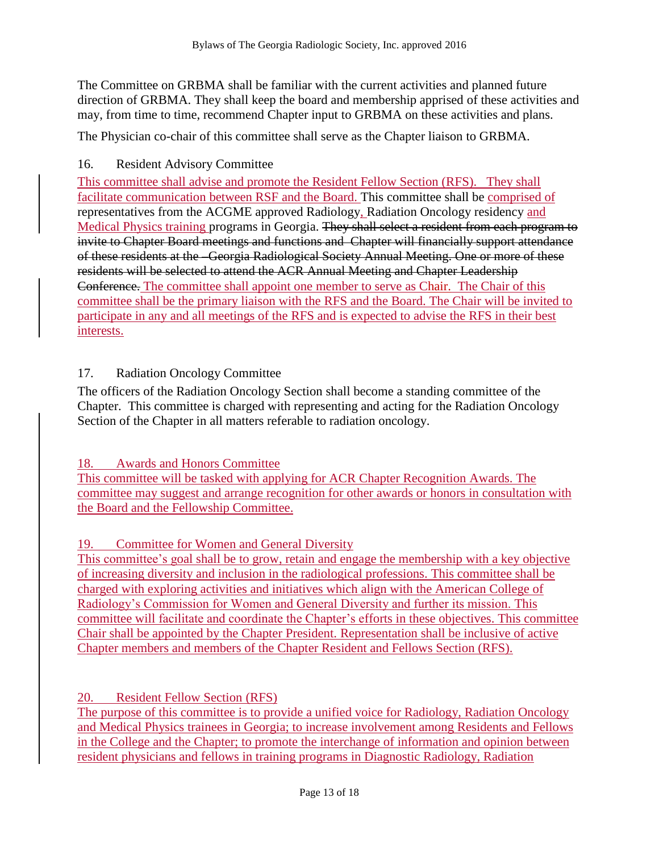The Committee on GRBMA shall be familiar with the current activities and planned future direction of GRBMA. They shall keep the board and membership apprised of these activities and may, from time to time, recommend Chapter input to GRBMA on these activities and plans.

The Physician co-chair of this committee shall serve as the Chapter liaison to GRBMA.

## 16. Resident Advisory Committee

This committee shall advise and promote the Resident Fellow Section (RFS). They shall facilitate communication between RSF and the Board. This committee shall be comprised of representatives from the ACGME approved Radiology, Radiation Oncology residency and Medical Physics training programs in Georgia. They shall select a resident from each program to invite to Chapter Board meetings and functions and Chapter will financially support attendance of these residents at the –Georgia Radiological Society Annual Meeting. One or more of these residents will be selected to attend the ACR Annual Meeting and Chapter Leadership Conference. The committee shall appoint one member to serve as Chair. The Chair of this committee shall be the primary liaison with the RFS and the Board. The Chair will be invited to participate in any and all meetings of the RFS and is expected to advise the RFS in their best interests.

### 17. Radiation Oncology Committee

The officers of the Radiation Oncology Section shall become a standing committee of the Chapter. This committee is charged with representing and acting for the Radiation Oncology Section of the Chapter in all matters referable to radiation oncology.

### 18. Awards and Honors Committee

This committee will be tasked with applying for ACR Chapter Recognition Awards. The committee may suggest and arrange recognition for other awards or honors in consultation with the Board and the Fellowship Committee.

### 19. Committee for Women and General Diversity

This committee's goal shall be to grow, retain and engage the membership with a key objective of increasing diversity and inclusion in the radiological professions. This committee shall be charged with exploring activities and initiatives which align with the American College of Radiology's Commission for Women and General Diversity and further its mission. This committee will facilitate and coordinate the Chapter's efforts in these objectives. This committee Chair shall be appointed by the Chapter President. Representation shall be inclusive of active Chapter members and members of the Chapter Resident and Fellows Section (RFS).

### 20. Resident Fellow Section (RFS)

The purpose of this committee is to provide a unified voice for Radiology, Radiation Oncology and Medical Physics trainees in Georgia; to increase involvement among Residents and Fellows in the College and the Chapter; to promote the interchange of information and opinion between resident physicians and fellows in training programs in Diagnostic Radiology, Radiation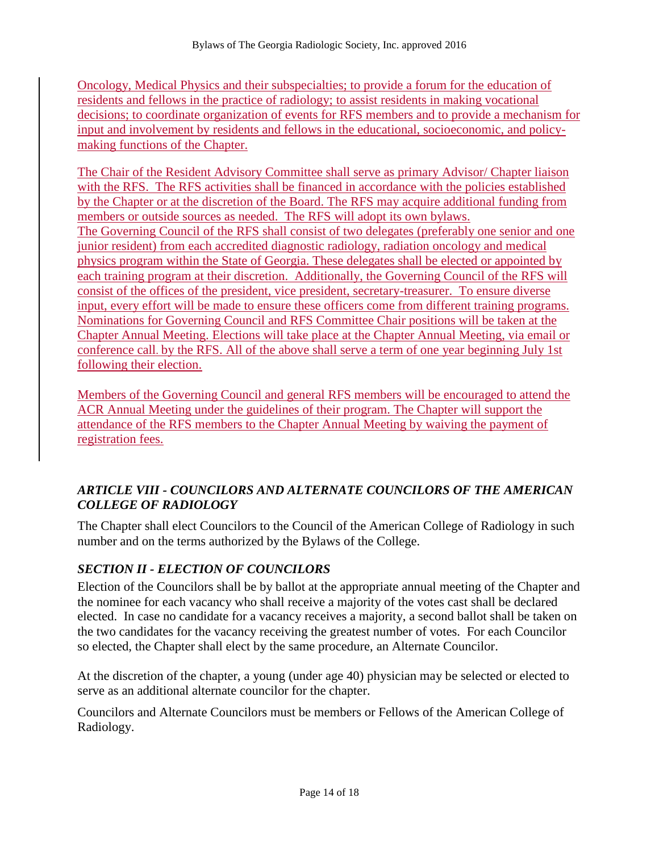Oncology, Medical Physics and their subspecialties; to provide a forum for the education of residents and fellows in the practice of radiology; to assist residents in making vocational decisions; to coordinate organization of events for RFS members and to provide a mechanism for input and involvement by residents and fellows in the educational, socioeconomic, and policymaking functions of the Chapter.

The Chair of the Resident Advisory Committee shall serve as primary Advisor/ Chapter liaison with the RFS. The RFS activities shall be financed in accordance with the policies established by the Chapter or at the discretion of the Board. The RFS may acquire additional funding from members or outside sources as needed. The RFS will adopt its own bylaws. The Governing Council of the RFS shall consist of two delegates (preferably one senior and one junior resident) from each accredited diagnostic radiology, radiation oncology and medical physics program within the State of Georgia. These delegates shall be elected or appointed by each training program at their discretion. Additionally, the Governing Council of the RFS will consist of the offices of the president, vice president, secretary-treasurer. To ensure diverse input, every effort will be made to ensure these officers come from different training programs. Nominations for Governing Council and RFS Committee Chair positions will be taken at the Chapter Annual Meeting. Elections will take place at the Chapter Annual Meeting, via email or conference call. by the RFS. All of the above shall serve a term of one year beginning July 1st following their election.

Members of the Governing Council and general RFS members will be encouraged to attend the ACR Annual Meeting under the guidelines of their program. The Chapter will support the attendance of the RFS members to the Chapter Annual Meeting by waiving the payment of registration fees.

## *ARTICLE VIII - COUNCILORS AND ALTERNATE COUNCILORS OF THE AMERICAN COLLEGE OF RADIOLOGY*

The Chapter shall elect Councilors to the Council of the American College of Radiology in such number and on the terms authorized by the Bylaws of the College.

# *SECTION II - ELECTION OF COUNCILORS*

Election of the Councilors shall be by ballot at the appropriate annual meeting of the Chapter and the nominee for each vacancy who shall receive a majority of the votes cast shall be declared elected. In case no candidate for a vacancy receives a majority, a second ballot shall be taken on the two candidates for the vacancy receiving the greatest number of votes. For each Councilor so elected, the Chapter shall elect by the same procedure, an Alternate Councilor.

At the discretion of the chapter, a young (under age 40) physician may be selected or elected to serve as an additional alternate councilor for the chapter.

Councilors and Alternate Councilors must be members or Fellows of the American College of Radiology.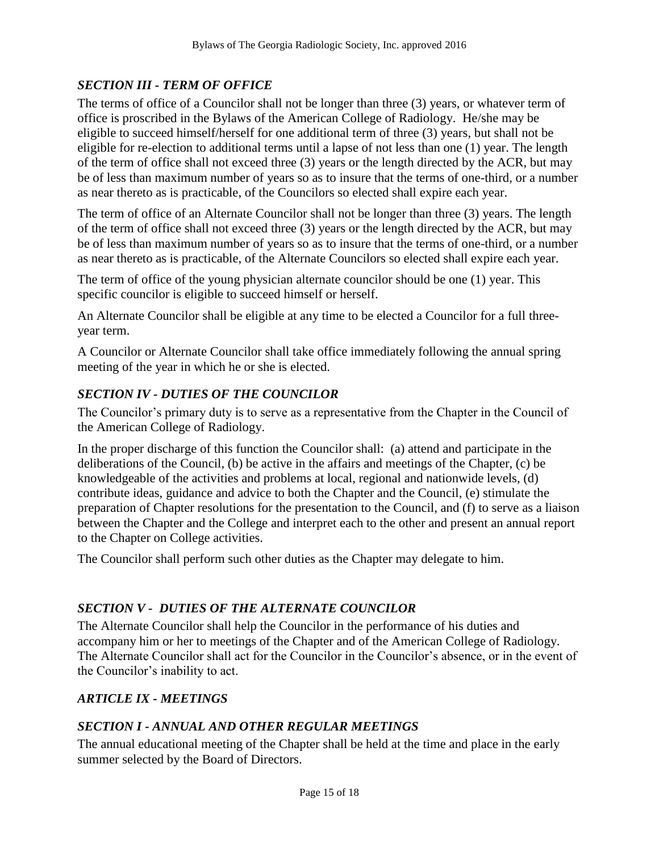# *SECTION III - TERM OF OFFICE*

The terms of office of a Councilor shall not be longer than three (3) years, or whatever term of office is proscribed in the Bylaws of the American College of Radiology. He/she may be eligible to succeed himself/herself for one additional term of three (3) years, but shall not be eligible for re-election to additional terms until a lapse of not less than one (1) year. The length of the term of office shall not exceed three (3) years or the length directed by the ACR, but may be of less than maximum number of years so as to insure that the terms of one-third, or a number as near thereto as is practicable, of the Councilors so elected shall expire each year.

The term of office of an Alternate Councilor shall not be longer than three (3) years. The length of the term of office shall not exceed three (3) years or the length directed by the ACR, but may be of less than maximum number of years so as to insure that the terms of one-third, or a number as near thereto as is practicable, of the Alternate Councilors so elected shall expire each year.

The term of office of the young physician alternate councilor should be one (1) year. This specific councilor is eligible to succeed himself or herself.

An Alternate Councilor shall be eligible at any time to be elected a Councilor for a full threeyear term.

A Councilor or Alternate Councilor shall take office immediately following the annual spring meeting of the year in which he or she is elected.

## *SECTION IV - DUTIES OF THE COUNCILOR*

The Councilor's primary duty is to serve as a representative from the Chapter in the Council of the American College of Radiology.

In the proper discharge of this function the Councilor shall: (a) attend and participate in the deliberations of the Council, (b) be active in the affairs and meetings of the Chapter, (c) be knowledgeable of the activities and problems at local, regional and nationwide levels, (d) contribute ideas, guidance and advice to both the Chapter and the Council, (e) stimulate the preparation of Chapter resolutions for the presentation to the Council, and (f) to serve as a liaison between the Chapter and the College and interpret each to the other and present an annual report to the Chapter on College activities.

The Councilor shall perform such other duties as the Chapter may delegate to him.

### *SECTION V - DUTIES OF THE ALTERNATE COUNCILOR*

The Alternate Councilor shall help the Councilor in the performance of his duties and accompany him or her to meetings of the Chapter and of the American College of Radiology. The Alternate Councilor shall act for the Councilor in the Councilor's absence, or in the event of the Councilor's inability to act.

### *ARTICLE IX - MEETINGS*

### *SECTION I - ANNUAL AND OTHER REGULAR MEETINGS*

The annual educational meeting of the Chapter shall be held at the time and place in the early summer selected by the Board of Directors.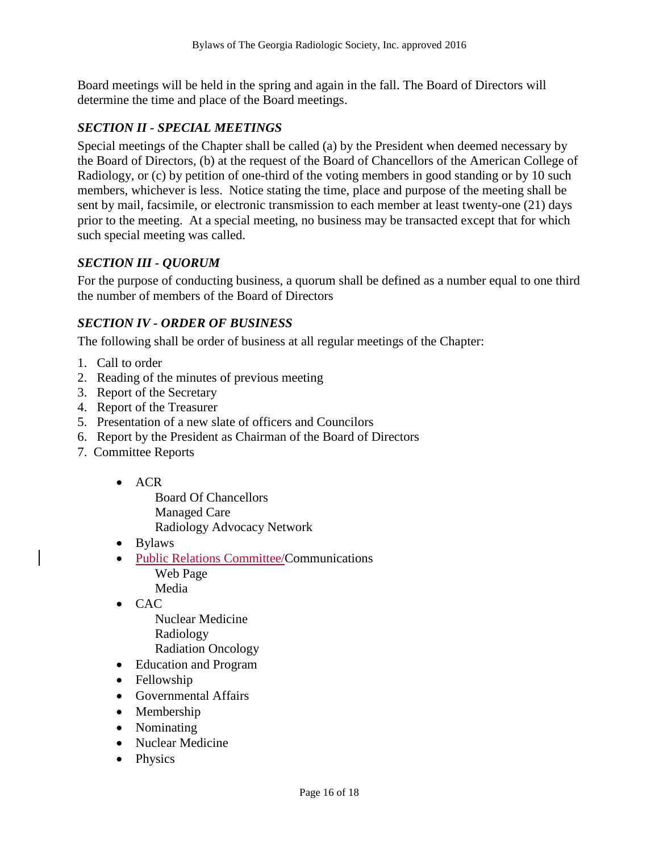Board meetings will be held in the spring and again in the fall. The Board of Directors will determine the time and place of the Board meetings.

### *SECTION II - SPECIAL MEETINGS*

Special meetings of the Chapter shall be called (a) by the President when deemed necessary by the Board of Directors, (b) at the request of the Board of Chancellors of the American College of Radiology, or (c) by petition of one-third of the voting members in good standing or by 10 such members, whichever is less. Notice stating the time, place and purpose of the meeting shall be sent by mail, facsimile, or electronic transmission to each member at least twenty-one (21) days prior to the meeting. At a special meeting, no business may be transacted except that for which such special meeting was called.

### *SECTION III - QUORUM*

For the purpose of conducting business, a quorum shall be defined as a number equal to one third the number of members of the Board of Directors

## *SECTION IV - ORDER OF BUSINESS*

The following shall be order of business at all regular meetings of the Chapter:

- 1. Call to order
- 2. Reading of the minutes of previous meeting
- 3. Report of the Secretary
- 4. Report of the Treasurer
- 5. Presentation of a new slate of officers and Councilors
- 6. Report by the President as Chairman of the Board of Directors
- 7. Committee Reports
	- ACR

Board Of Chancellors Managed Care Radiology Advocacy Network

- Bylaws
- Public Relations Committee/Communications Web Page Media
- CAC

Nuclear Medicine Radiology Radiation Oncology

- Education and Program
- Fellowship
- Governmental Affairs
- Membership
- Nominating
- Nuclear Medicine
- Physics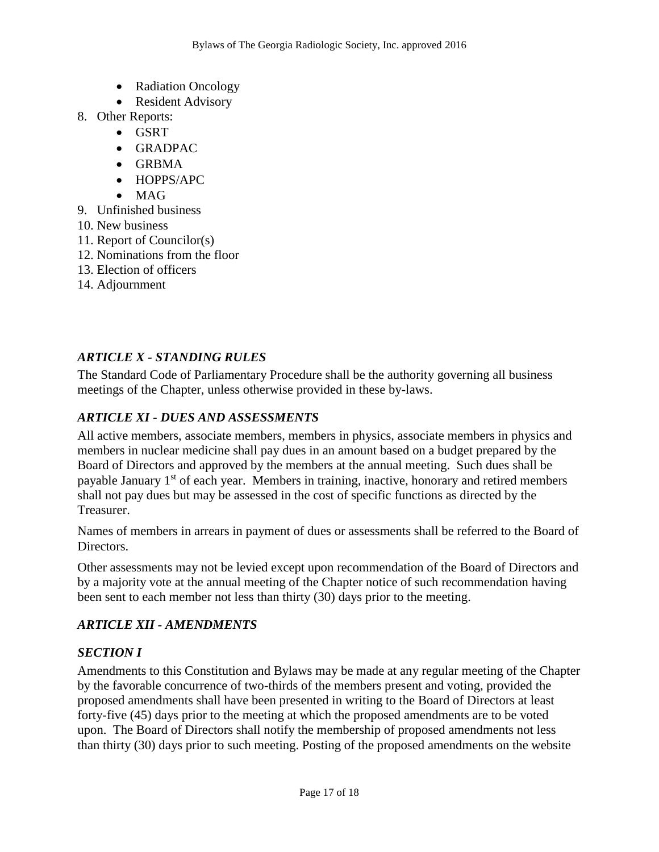- Radiation Oncology
- Resident Advisory
- 8. Other Reports:
	- GSRT
	- GRADPAC
	- GRBMA
	- HOPPS/APC
	- MAG
- 9. Unfinished business
- 10. New business
- 11. Report of Councilor(s)
- 12. Nominations from the floor
- 13. Election of officers
- 14. Adjournment

### *ARTICLE X - STANDING RULES*

The Standard Code of Parliamentary Procedure shall be the authority governing all business meetings of the Chapter, unless otherwise provided in these by-laws.

### *ARTICLE XI - DUES AND ASSESSMENTS*

All active members, associate members, members in physics, associate members in physics and members in nuclear medicine shall pay dues in an amount based on a budget prepared by the Board of Directors and approved by the members at the annual meeting. Such dues shall be payable January 1<sup>st</sup> of each year. Members in training, inactive, honorary and retired members shall not pay dues but may be assessed in the cost of specific functions as directed by the Treasurer.

Names of members in arrears in payment of dues or assessments shall be referred to the Board of Directors.

Other assessments may not be levied except upon recommendation of the Board of Directors and by a majority vote at the annual meeting of the Chapter notice of such recommendation having been sent to each member not less than thirty (30) days prior to the meeting.

### *ARTICLE XII - AMENDMENTS*

### *SECTION I*

Amendments to this Constitution and Bylaws may be made at any regular meeting of the Chapter by the favorable concurrence of two-thirds of the members present and voting, provided the proposed amendments shall have been presented in writing to the Board of Directors at least forty-five (45) days prior to the meeting at which the proposed amendments are to be voted upon. The Board of Directors shall notify the membership of proposed amendments not less than thirty (30) days prior to such meeting. Posting of the proposed amendments on the website